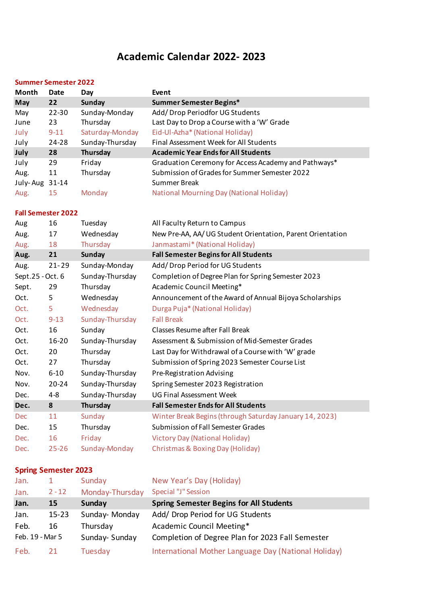## **Academic Calendar 2022- 2023**

## **Summer Semester 2022**

| Month            | <b>Date</b>                 | Day             | Event                                                      |
|------------------|-----------------------------|-----------------|------------------------------------------------------------|
| May              | 22                          | <b>Sunday</b>   | Summer Semester Begins*                                    |
| May              | 22-30                       | Sunday-Monday   | Add/Drop Periodfor UG Students                             |
| June             | 23                          | Thursday        | Last Day to Drop a Course with a 'W' Grade                 |
| July             | $9 - 11$                    | Saturday-Monday | Eid-Ul-Azha* (National Holiday)                            |
| July             | 24-28                       | Sunday-Thursday | Final Assessment Week for All Students                     |
| July             | 28                          | <b>Thursday</b> | <b>Academic Year Ends for All Students</b>                 |
| July             | 29                          | Friday          | Graduation Ceremony for Access Academy and Pathways*       |
| Aug.             | 11                          | Thursday        | Submission of Grades for Summer Semester 2022              |
| July-Aug 31-14   |                             |                 | <b>Summer Break</b>                                        |
| Aug.             | 15                          | Monday          | <b>National Mourning Day (National Holiday)</b>            |
|                  | <b>Fall Semester 2022</b>   |                 |                                                            |
| Aug              | 16                          | Tuesday         | All Faculty Return to Campus                               |
| Aug.             | 17                          | Wednesday       | New Pre-AA, AA/ UG Student Orientation, Parent Orientation |
| Aug.             | 18                          | Thursday        | Janmastami* (National Holiday)                             |
| Aug.             | 21                          | <b>Sunday</b>   | <b>Fall Semester Begins for All Students</b>               |
| Aug.             | $21 - 29$                   | Sunday-Monday   | Add/Drop Period for UG Students                            |
| Sept.25 - Oct. 6 |                             | Sunday-Thursday | Completion of Degree Plan for Spring Semester 2023         |
| Sept.            | 29                          | Thursday        | Academic Council Meeting*                                  |
| Oct.             | 5                           | Wednesday       | Announcement of the Award of Annual Bijoya Scholarships    |
| Oct.             | 5                           | Wednesday       | Durga Puja* (National Holiday)                             |
| Oct.             | $9 - 13$                    | Sunday-Thursday | <b>Fall Break</b>                                          |
| Oct.             | 16                          | Sunday          | <b>Classes Resume after Fall Break</b>                     |
| Oct.             | 16-20                       | Sunday-Thursday | Assessment & Submission of Mid-Semester Grades             |
| Oct.             | 20                          | Thursday        | Last Day for Withdrawal of a Course with 'W' grade         |
| Oct.             | 27                          | Thursday        | Submission of Spring 2023 Semester Course List             |
| Nov.             | $6 - 10$                    | Sunday-Thursday | Pre-Registration Advising                                  |
| Nov.             | $20 - 24$                   | Sunday-Thursday | Spring Semester 2023 Registration                          |
| Dec.             | $4 - 8$                     | Sunday-Thursday | <b>UG Final Assessment Week</b>                            |
| Dec.             | 8                           | <b>Thursday</b> | <b>Fall Semester Ends for All Students</b>                 |
| Dec              | 11                          | Sunday          | Winter Break Begins (through Saturday January 14, 2023)    |
| Dec.             | 15                          | Thursday        | <b>Submission of Fall Semester Grades</b>                  |
| Dec.             | 16                          | Friday          | <b>Victory Day (National Holiday)</b>                      |
| Dec.             | $25 - 26$                   | Sunday-Monday   | Christmas & Boxing Day (Holiday)                           |
|                  | <b>Spring Semester 2023</b> |                 |                                                            |
|                  |                             |                 |                                                            |

| Jan.            |           | Sunday          | New Year's Day (Holiday)                             |
|-----------------|-----------|-----------------|------------------------------------------------------|
| Jan.            | $2 - 12$  | Monday-Thursday | Special "J" Session                                  |
| Jan.            | 15        | Sunday          | <b>Spring Semester Begins for All Students</b>       |
| Jan.            | $15 - 23$ | Sunday-Monday   | Add/ Drop Period for UG Students                     |
| Feb.            | 16        | Thursday        | Academic Council Meeting*                            |
| Feb. 19 - Mar 5 |           | Sunday-Sunday   | Completion of Degree Plan for 2023 Fall Semester     |
| Feb.            |           | Tuesday         | International Mother Language Day (National Holiday) |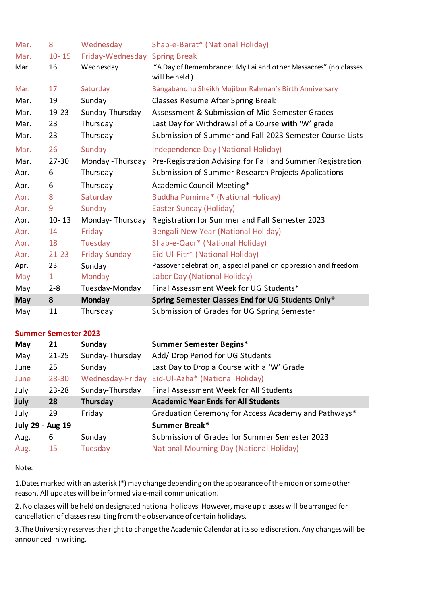| Mar.       | 8            | Wednesday                     | Shab-e-Barat* (National Holiday)                                                |
|------------|--------------|-------------------------------|---------------------------------------------------------------------------------|
| Mar.       | $10 - 15$    | Friday-Wednesday Spring Break |                                                                                 |
| Mar.       | 16           | Wednesday                     | "A Day of Remembrance: My Lai and other Massacres" (no classes<br>will be held) |
| Mar.       | 17           | Saturday                      | Bangabandhu Sheikh Mujibur Rahman's Birth Anniversary                           |
| Mar.       | 19           | Sunday                        | Classes Resume After Spring Break                                               |
| Mar.       | $19 - 23$    | Sunday-Thursday               | Assessment & Submission of Mid-Semester Grades                                  |
| Mar.       | 23           | Thursday                      | Last Day for Withdrawal of a Course with 'W' grade                              |
| Mar.       | 23           | Thursday                      | Submission of Summer and Fall 2023 Semester Course Lists                        |
| Mar.       | 26           | Sunday                        | <b>Independence Day (National Holiday)</b>                                      |
| Mar.       | $27 - 30$    | Monday - Thursday             | Pre-Registration Advising for Fall and Summer Registration                      |
| Apr.       | 6            | Thursday                      | Submission of Summer Research Projects Applications                             |
|            |              |                               |                                                                                 |
| Apr.       | 6            | Thursday                      | Academic Council Meeting*                                                       |
| Apr.       | 8            | Saturday                      | Buddha Purnima* (National Holiday)                                              |
| Apr.       | 9            | Sunday                        | <b>Easter Sunday (Holiday)</b>                                                  |
| Apr.       | $10 - 13$    | Monday-Thursday               | Registration for Summer and Fall Semester 2023                                  |
| Apr.       | 14           | Friday                        | Bengali New Year (National Holiday)                                             |
| Apr.       | 18           | Tuesday                       | Shab-e-Qadr* (National Holiday)                                                 |
| Apr.       | $21 - 23$    | Friday-Sunday                 | Eid-Ul-Fitr* (National Holiday)                                                 |
| Apr.       | 23           | Sunday                        | Passover celebration, a special panel on oppression and freedom                 |
| May        | $\mathbf{1}$ | Monday                        | Labor Day (National Holiday)                                                    |
| May        | $2 - 8$      | Tuesday-Monday                | Final Assessment Week for UG Students*                                          |
| <b>May</b> | 8            | <b>Monday</b>                 | Spring Semester Classes End for UG Students Only*                               |

## **Summer Semester 2023**

| May              | 21        | Sunday           | <b>Summer Semester Begins*</b>                       |
|------------------|-----------|------------------|------------------------------------------------------|
| May              | $21 - 25$ | Sunday-Thursday  | Add/ Drop Period for UG Students                     |
| June             | 25        | Sunday           | Last Day to Drop a Course with a 'W' Grade           |
| June             | $28 - 30$ | Wednesday-Friday | Eid-Ul-Azha* (National Holiday)                      |
| July             | $23 - 28$ | Sunday-Thursday  | Final Assessment Week for All Students               |
|                  |           |                  |                                                      |
| July             | 28        | Thursday         | <b>Academic Year Ends for All Students</b>           |
| July             | 29        | Friday           | Graduation Ceremony for Access Academy and Pathways* |
| July 29 - Aug 19 |           |                  | Summer Break*                                        |
| Aug.             | 6         | Sunday           | Submission of Grades for Summer Semester 2023        |

Note:

1.Dates marked with an asterisk (\*) may change depending on the appearance of the moon or some other reason. All updates will be informed via e-mail communication.

2. No classes will be held on designated national holidays. However, make up classes will be arranged for cancellation of classes resulting from the observance of certain holidays.

3.The University reserves the right to change the Academic Calendar at its sole discretion. Any changes will be announced in writing.